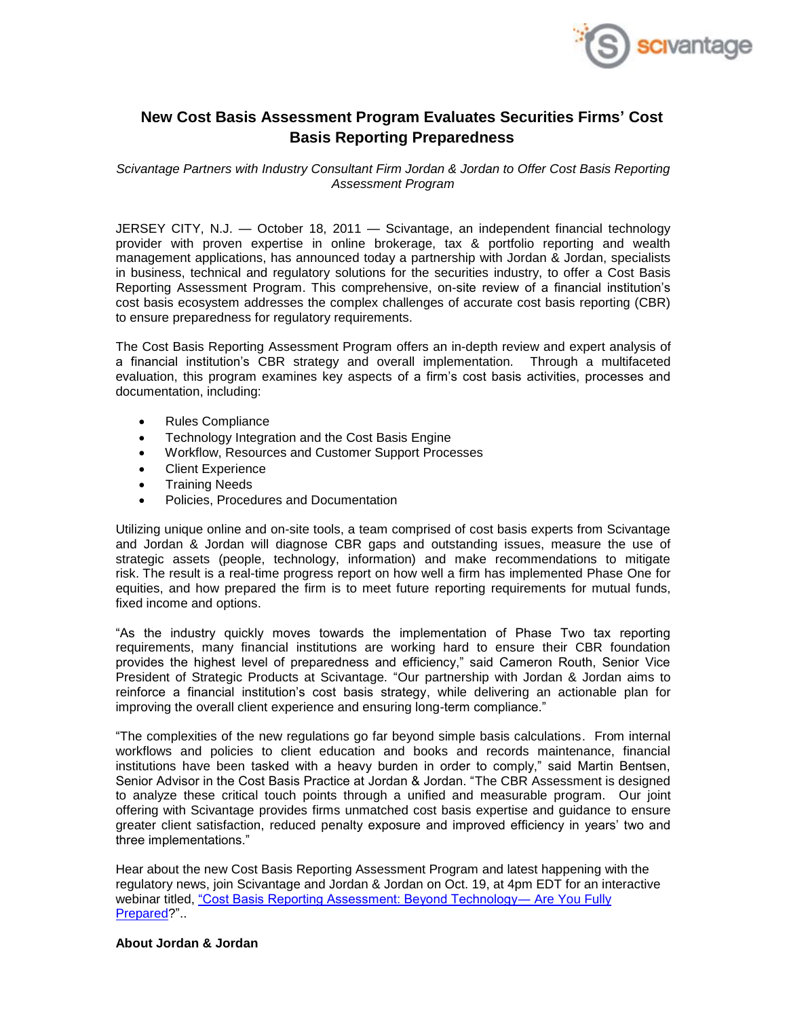

## **New Cost Basis Assessment Program Evaluates Securities Firms' Cost Basis Reporting Preparedness**

*Scivantage Partners with Industry Consultant Firm Jordan & Jordan to Offer Cost Basis Reporting Assessment Program*

JERSEY CITY, N.J. — October 18, 2011 — Scivantage, an independent financial technology provider with proven expertise in online brokerage, tax & portfolio reporting and wealth management applications, has announced today a partnership with Jordan & Jordan, specialists in business, technical and regulatory solutions for the securities industry, to offer a Cost Basis Reporting Assessment Program. This comprehensive, on-site review of a financial institution's cost basis ecosystem addresses the complex challenges of accurate cost basis reporting (CBR) to ensure preparedness for regulatory requirements.

The Cost Basis Reporting Assessment Program offers an in-depth review and expert analysis of a financial institution's CBR strategy and overall implementation. Through a multifaceted evaluation, this program examines key aspects of a firm's cost basis activities, processes and documentation, including:

- Rules Compliance
- Technology Integration and the Cost Basis Engine
- Workflow, Resources and Customer Support Processes
- Client Experience
- **•** Training Needs
- Policies, Procedures and Documentation

Utilizing unique online and on-site tools, a team comprised of cost basis experts from Scivantage and Jordan & Jordan will diagnose CBR gaps and outstanding issues, measure the use of strategic assets (people, technology, information) and make recommendations to mitigate risk. The result is a real-time progress report on how well a firm has implemented Phase One for equities, and how prepared the firm is to meet future reporting requirements for mutual funds, fixed income and options.

"As the industry quickly moves towards the implementation of Phase Two tax reporting requirements, many financial institutions are working hard to ensure their CBR foundation provides the highest level of preparedness and efficiency," said Cameron Routh, Senior Vice President of Strategic Products at Scivantage. "Our partnership with Jordan & Jordan aims to reinforce a financial institution's cost basis strategy, while delivering an actionable plan for improving the overall client experience and ensuring long-term compliance."

"The complexities of the new regulations go far beyond simple basis calculations. From internal workflows and policies to client education and books and records maintenance, financial institutions have been tasked with a heavy burden in order to comply," said Martin Bentsen, Senior Advisor in the Cost Basis Practice at Jordan & Jordan. "The CBR Assessment is designed to analyze these critical touch points through a unified and measurable program. Our joint offering with Scivantage provides firms unmatched cost basis expertise and guidance to ensure greater client satisfaction, reduced penalty exposure and improved efficiency in years' two and three implementations."

Hear about the new Cost Basis Reporting Assessment Program and latest happening with the regulatory news, join Scivantage and Jordan & Jordan on Oct. 19, at 4pm EDT for an interactive webinar titled, ["Cost Basis Reporting Assessment: Beyond Technology―](http://info.scivantage.com/JJWebinar-EmailSet-up_WEB_CBRA_Oct19_RegistrationPage.html?ID=701000000005qos&cs=Cognito&source=CBR%20Assessment_10-19-2011&Pdt=Maxit&p=Prospect&mkt_tok=3RkMMJWWfF9wsRow5%2FmYJoDpwmWGd5mht7VzDtPj1OY6hBksIL2JK1TtuMFUGpsqOPqdCBQRHYRgxwk%3D) Are You Fully [Prepared?](http://info.scivantage.com/JJWebinar-EmailSet-up_WEB_CBRA_Oct19_RegistrationPage.html?ID=701000000005qos&cs=Cognito&source=CBR%20Assessment_10-19-2011&Pdt=Maxit&p=Prospect&mkt_tok=3RkMMJWWfF9wsRow5%2FmYJoDpwmWGd5mht7VzDtPj1OY6hBksIL2JK1TtuMFUGpsqOPqdCBQRHYRgxwk%3D)"..

**About Jordan & Jordan**